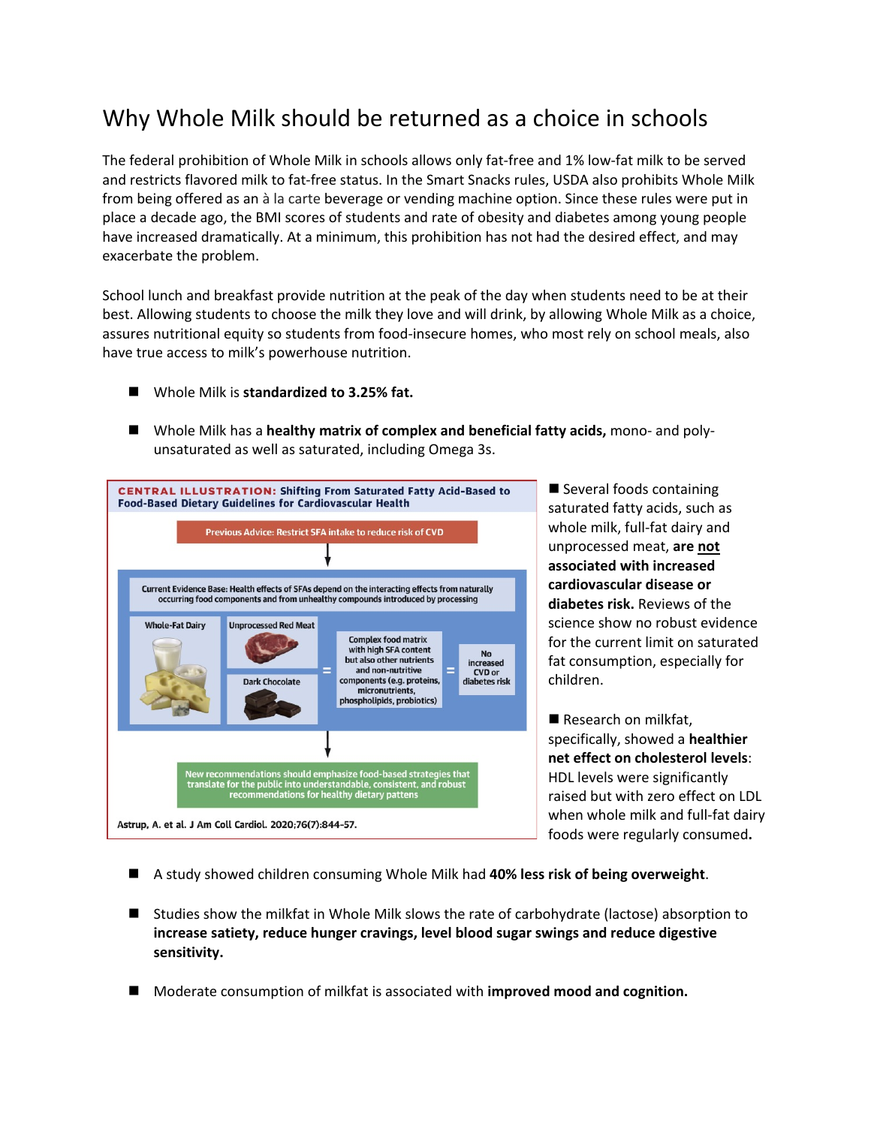## Why Whole Milk should be returned as a choice in schools

The federal prohibition of Whole Milk in schools allows only fat-free and 1% low-fat milk to be served and restricts flavored milk to fat-free status. In the Smart Snacks rules, USDA also prohibits Whole Milk from being offered as an à la carte beverage or vending machine option. Since these rules were put in place a decade ago, the BMI scores of students and rate of obesity and diabetes among young people have increased dramatically. At a minimum, this prohibition has not had the desired effect, and may exacerbate the problem.

School lunch and breakfast provide nutrition at the peak of the day when students need to be at their best. Allowing students to choose the milk they love and will drink, by allowing Whole Milk as a choice, assures nutritional equity so students from food-insecure homes, who most rely on school meals, also have true access to milk's powerhouse nutrition.

- Whole Milk is **standardized to 3.25% fat.**
- Whole Milk has a **healthy matrix of complex and beneficial fatty acids,** mono- and polyunsaturated as well as saturated, including Omega 3s.



Several foods containing saturated fatty acids, such as whole milk, full-fat dairy and unprocessed meat, **are not associated with increased cardiovascular disease or diabetes risk.** Reviews of the science show no robust evidence for the current limit on saturated fat consumption, especially for children.

Research on milkfat, specifically, showed a **healthier net effect on cholesterol levels**: HDL levels were significantly raised but with zero effect on LDL when whole milk and full-fat dairy foods were regularly consumed**.**

- A study showed children consuming Whole Milk had **40% less risk of being overweight**.
- Studies show the milkfat in Whole Milk slows the rate of carbohydrate (lactose) absorption to **increase satiety, reduce hunger cravings, level blood sugar swings and reduce digestive sensitivity.**
- Moderate consumption of milkfat is associated with **improved mood and cognition.**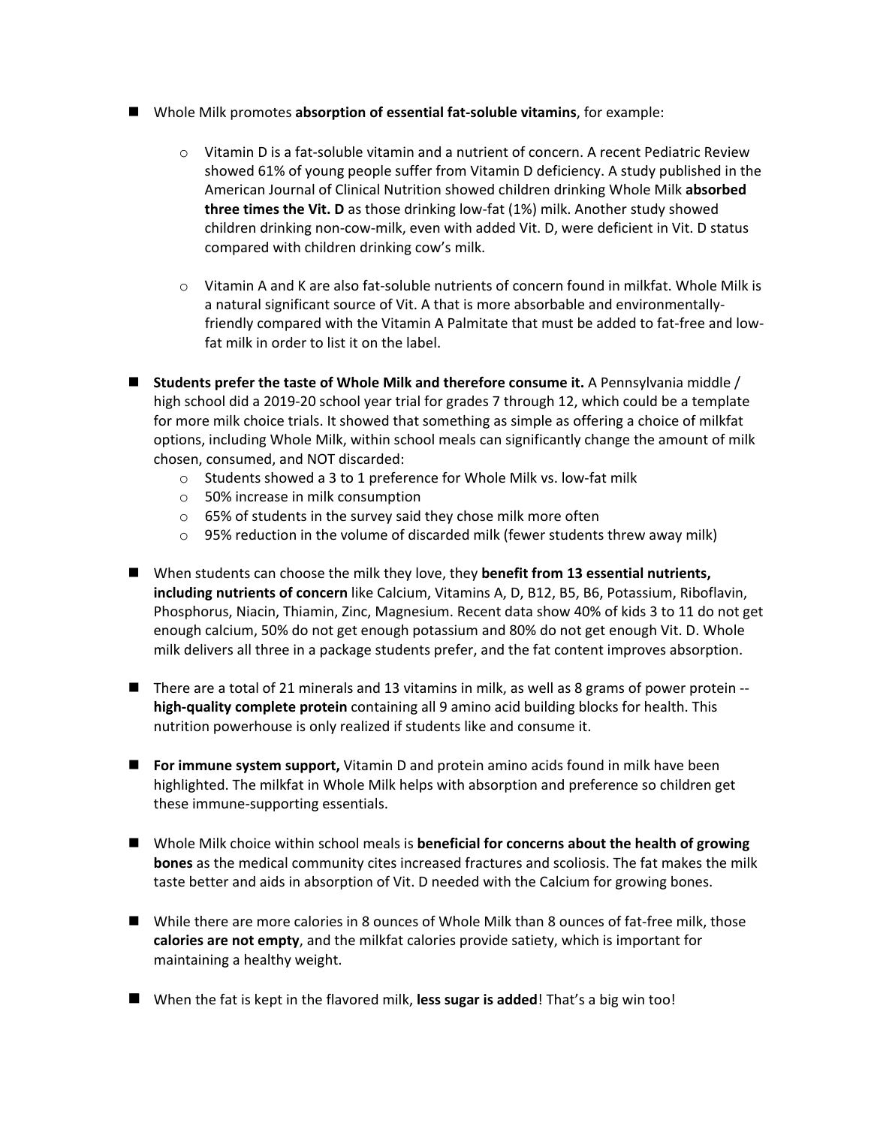- Whole Milk promotes **absorption of essential fat-soluble vitamins**, for example:
	- $\circ$  Vitamin D is a fat-soluble vitamin and a nutrient of concern. A recent Pediatric Review showed 61% of young people suffer from Vitamin D deficiency. A study published in the American Journal of Clinical Nutrition showed children drinking Whole Milk **absorbed three times the Vit. D** as those drinking low-fat (1%) milk. Another study showed children drinking non-cow-milk, even with added Vit. D, were deficient in Vit. D status compared with children drinking cow's milk.
	- o Vitamin A and K are also fat-soluble nutrients of concern found in milkfat. Whole Milk is a natural significant source of Vit. A that is more absorbable and environmentallyfriendly compared with the Vitamin A Palmitate that must be added to fat-free and lowfat milk in order to list it on the label.
- **Students prefer the taste of Whole Milk and therefore consume it.** A Pennsylvania middle / high school did a 2019-20 school year trial for grades 7 through 12, which could be a template for more milk choice trials. It showed that something as simple as offering a choice of milkfat options, including Whole Milk, within school meals can significantly change the amount of milk chosen, consumed, and NOT discarded:
	- o Students showed a 3 to 1 preference for Whole Milk vs. low-fat milk
	- o 50% increase in milk consumption
	- o 65% of students in the survey said they chose milk more often
	- $\circ$  95% reduction in the volume of discarded milk (fewer students threw away milk)
- When students can choose the milk they love, they **benefit from 13 essential nutrients, including nutrients of concern** like Calcium, Vitamins A, D, B12, B5, B6, Potassium, Riboflavin, Phosphorus, Niacin, Thiamin, Zinc, Magnesium. Recent data show 40% of kids 3 to 11 do not get enough calcium, 50% do not get enough potassium and 80% do not get enough Vit. D. Whole milk delivers all three in a package students prefer, and the fat content improves absorption.
- There are a total of 21 minerals and 13 vitamins in milk, as well as 8 grams of power protein -**high-quality complete protein** containing all 9 amino acid building blocks for health. This nutrition powerhouse is only realized if students like and consume it.
- **For immune system support,** Vitamin D and protein amino acids found in milk have been highlighted. The milkfat in Whole Milk helps with absorption and preference so children get these immune-supporting essentials.
- Whole Milk choice within school meals is **beneficial for concerns about the health of growing bones** as the medical community cites increased fractures and scoliosis. The fat makes the milk taste better and aids in absorption of Vit. D needed with the Calcium for growing bones.
- While there are more calories in 8 ounces of Whole Milk than 8 ounces of fat-free milk, those **calories are not empty**, and the milkfat calories provide satiety, which is important for maintaining a healthy weight.
- When the fat is kept in the flavored milk, **less sugar is added**! That's a big win too!